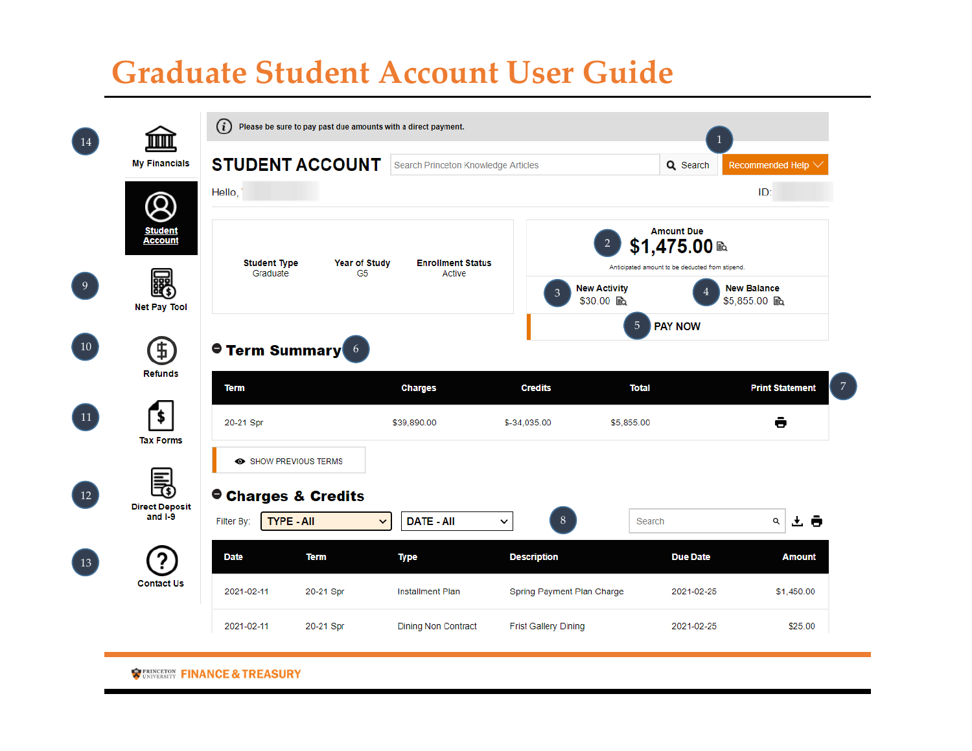## **Graduate Student Account User Guide**

| 14             | <b>My Financials</b><br>O<br><b>Student</b><br><b>Account</b> | (i)<br>Please be sure to pay past due amounts with a direct payment. |                                        |                                     |                             |                                                  |                                                 |  |
|----------------|---------------------------------------------------------------|----------------------------------------------------------------------|----------------------------------------|-------------------------------------|-----------------------------|--------------------------------------------------|-------------------------------------------------|--|
|                |                                                               |                                                                      | <b>STUDENT ACCOUNT</b>                 | Search Princeton Knowledge Articles |                             | Q Search                                         | Recommended Help                                |  |
|                |                                                               | Hello,                                                               |                                        |                                     |                             |                                                  | ID:                                             |  |
|                |                                                               |                                                                      |                                        |                                     |                             | <b>Amount Due</b><br>$\overline{2}$<br>.475.00 ₪ |                                                 |  |
|                |                                                               | <b>Student Type</b><br>Graduate                                      | <b>Year of Study</b><br>G <sub>5</sub> | <b>Enrollment Status</b><br>Active  |                             |                                                  | Anticipated amount to be deducted from stipend. |  |
| 9 <sup>°</sup> | 飀<br><b>Net Pay Tool</b>                                      |                                                                      |                                        |                                     | $\mathfrak{Z}$              | <b>New Activity</b><br>\$30.00 A                 | <b>New Balance</b><br>\$5,855.00 配              |  |
|                |                                                               |                                                                      |                                        |                                     |                             | $\sqrt{5}$<br><b>PAY NOW</b>                     |                                                 |  |
| 10             | Ŧ<br><b>Refunds</b>                                           | <b>Term Summary</b> 6                                                |                                        |                                     |                             |                                                  |                                                 |  |
|                |                                                               | <b>Term</b>                                                          |                                        | <b>Charges</b>                      | <b>Credits</b>              | <b>Total</b>                                     | <b>Print Statement</b>                          |  |
| 11             | \$<br><b>Tax Forms</b>                                        | 20-21 Spr                                                            |                                        | \$39,890.00                         | \$-34,035.00                | \$5,855.00                                       | ê                                               |  |
|                |                                                               |                                                                      | SHOW PREVIOUS TERMS                    |                                     |                             |                                                  |                                                 |  |
| 12             | 長<br><b>Direct Deposit</b><br>and $I-9$                       | Charges & Credits                                                    |                                        |                                     |                             |                                                  |                                                 |  |
|                |                                                               | Filter By:                                                           | <b>TYPE - All</b><br>$\checkmark$      | <b>DATE - All</b>                   | $8\,$<br>$\checkmark$       | Search                                           | 소 ㅎ<br>Q                                        |  |
| 13             |                                                               | <b>Date</b>                                                          | <b>Term</b>                            | <b>Type</b>                         | <b>Description</b>          | <b>Due Date</b>                                  | <b>Amount</b>                                   |  |
|                | <b>Contact Us</b>                                             | 2021-02-11                                                           | 20-21 Spr                              | <b>Installment Plan</b>             | Spring Payment Plan Charge  | 2021-02-25                                       | \$1,450.00                                      |  |
|                |                                                               | 2021-02-11                                                           | 20-21 Spr                              | <b>Dining Non Contract</b>          | <b>Frist Gallery Dining</b> | 2021-02-25                                       | \$25.00                                         |  |

**TEINGETON FINANCE & TREASURY**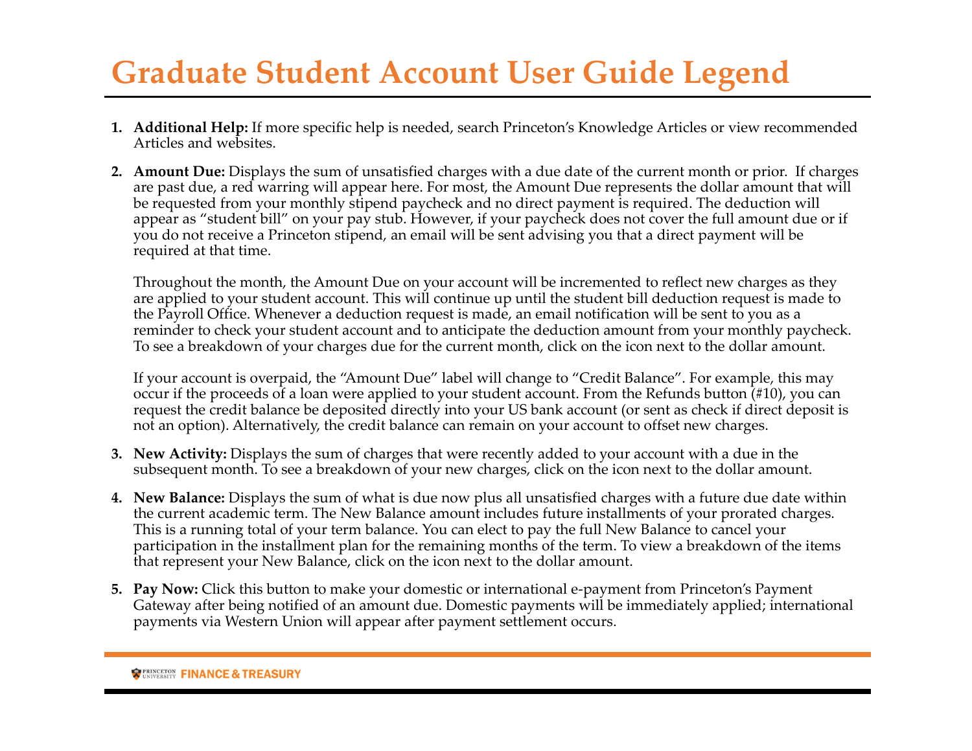## **Graduate Student Account User Guide Legend**

- **1. Additional Help:** If more specific help is needed, search Princeton's Knowledge Articles or view recommended Articles and websites.
- **2. Amount Due:** Displays the sum of unsatisfied charges with <sup>a</sup> due date of the current month or prior. If charges are pas<sup>t</sup> due, <sup>a</sup> red warring will appear here. For most, the Amount Due represents the dollar amount that will be requested from your monthly stipend paycheck and no direct paymen<sup>t</sup> is required. The deduction will appear as "student bill" on your pay stub. However, if your paycheck does not cover the full amount due or if you do not receive <sup>a</sup> Princeton stipend, an email will be sent advising you that <sup>a</sup> direct paymen<sup>t</sup> will be required at that time.

Throughout the month, the Amount Due on your account will be incremented to reflect new charges as they are applied to your student account. This will continue up until the student bill deduction reques<sup>t</sup> is made to the Payroll Office. Whenever <sup>a</sup> deduction reques<sup>t</sup> is made, an email notification will be sent to you as <sup>a</sup> reminder to check your student account and to anticipate the deduction amount from your monthly paycheck. To see <sup>a</sup> breakdown of your charges due for the current month, click on the icon next to the dollar amount.

If your account is overpaid, the "Amount Due" label will change to "Credit Balance". For example, this may occur if the proceeds of <sup>a</sup> loan were applied to your student account. From the Refunds button (#10), you can reques<sup>t</sup> the credit balance be deposited directly into your US bank account (or sent as check if direct deposit is not an option). Alternatively, the credit balance can remain on your account to offset new charges.

- **3. New Activity:** Displays the sum of charges that were recently added to your account with <sup>a</sup> due in the subsequent month. To see <sup>a</sup> breakdown of your new charges, click on the icon next to the dollar amount.
- **4. New Balance:** Displays the sum of what is due now plus all unsatisfied charges with <sup>a</sup> future due date within the current academic term. The New Balance amount includes future installments of your prorated charges. This is a running total of your term balance. You can elect to pay the full New Balance to cancel your participation in the installment plan for the remaining months of the term. To view <sup>a</sup> breakdown of the items that represen<sup>t</sup> your New Balance, click on the icon next to the dollar amount.
- **5. Pay Now:** Click this button to make your domestic or international <sup>e</sup>‐paymen<sup>t</sup> from Princeton's Payment Gateway after being notified of an amount due. Domestic payments will be immediately applied; international payments via Western Union will appear after paymen<sup>t</sup> settlement occurs.

**REASURY** UNIVERSITY **FINANCE & TREASURY**